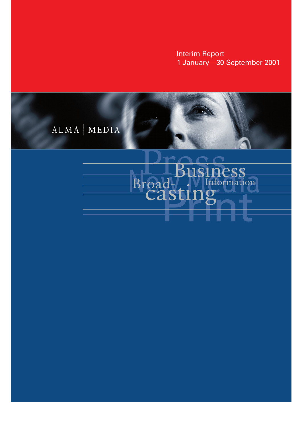**Interim Report** 1 January-30 September 2001



# ess Broadformation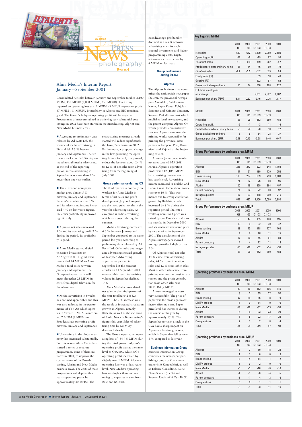Consolidated net sales between January and September totalled 2,100 MFIM, 353 MEUR (2,080 MFIM , 350 MEUR). The Group reported an operating loss of -19 MFIM, -3 MEUR (operating profit 67 MFIM , 11 MEUR). Profitability in Alpress and BIG remained good. The Group's full-year operating profit will be negative. Programmes of measures aimed at achieving very substantial cost savings in 2002 have been started in the Broadcasting, Alprint and New Media business areas.

GLOBAL

■ According to preliminary data released by Ad Facts Ltd, the volume of media advertising in Finland fell 3.3 % between January and September. The terrorist attacks on the USA depressed almost all media advertising at the end of the reporting period; media advertising in September was more than 7 % lower than one year earlier.

■ The afternoon newspaper market grew almost 5 % between January and September. Iltalehti's circulation rose 8 % and its advertising income increased 4 % on last year's figures. Iltalehti's profitability improved significantly.

■ Uncertainty in the global economy has increased substantially. For this reason Alma Media has started a series of separate programmes, some of them initiated in 2000, to improve the cost structure of the Broadcasting, Alprint and New Media business areas. The costs of these programmes will depress this year's operating profit by approximately 30 MFIM. The

 Alpress's net sales increased 9 % and its operating profit 7 % during the period. Its profitability is good.

 Alma Media started digital television broadcasts on 27 August 2001. Digital television added 14 MFIM to Alma Media's total costs between January and September. The Group estimates that it will incur altogether 23 MFIM in costs from digital television for the whole year.

 Media advertising in Sweden has declined appreciably and this was also reflected in the performance of TV4 AB which operates in Sweden. TV4 AB contributed 7 MFIM (8 MFIM) to Broadcasting's operating profit between January and September. restructuring measures already started will reduce significantly the Group's expenses in 2002. Furthermore, a proposed change in the law governing the operating licence fee will, if approved, reduce the fee from about 24 % to 12 % of net sales from advertising from the beginning of July 2002.

### **Group performance during Q3**

The third quarter is normally the weakest for Alma Media in terms of net sales and profit development. July and August are the most quiet months in the year for advertising sales. An exception is radio advertising which is strongest during the summer.

Media advertising decreased 4.0 % between January and September compared to the same period last year, according to preliminary data released by Ad Facts Ltd. Only radio and magazine advertising showed growth on last year. Advertising appeared to pick up in September but the terrorist attacks on 11 September 2001 reversed this trend. Advertising volume in September declined 7 %.

Alma Media's consolidated net sales in the third quarter of the year totalled 642 (632) MFIM. The 2 % increase was the result of increased circulation growth in Alpress, notably Iltalehti, as well as the inclusion of Radio Nova in Broadcasting's figures this year. Sales of advertising time by MTV Oy decreased clearly. The Group reported an operating loss of –34 (-6) MFIM during the third quarter. Alpress's operating profit was at the same level as Q3/2000, while BIG's operating profit increased by slightly over 1 MFIM. Alprint's operating loss was at last year's level. New Media's operating loss was higher than last year owing to expenses arising from Base and KCRnet.

# Key Figures, MFIM

|                                          | 2001<br>Q <sub>3</sub> | 2000<br>Q <sub>3</sub> | 2001<br>$Q1 - Q3$ | 2000<br>$Q1 - Q3$ | 2000  |  |
|------------------------------------------|------------------------|------------------------|-------------------|-------------------|-------|--|
| Net sales                                | 642                    | 632                    | 2,100             | 2,080             | 2,880 |  |
| Operating profit                         | $-34$                  | -6                     | $-19$             | 67                | 93    |  |
| -% of net sales                          | $-5.3$                 | $-0.9$                 | $-0.9$            | 3.2               | 3.2   |  |
| Profit before extraordinary items        | $-46$                  | $-14$                  | $-46$             | 60                | 70    |  |
| -% of net sales                          | $-7.2$                 | $-2.2$                 | $-2.2$            | 2.9               | 2.4   |  |
| Equity ratio (%)                         |                        |                        | 39                | 50                | 49    |  |
| Gearing (%)                              |                        |                        | 103               | 57                | 52    |  |
| Gross capital expenditure                | 50                     | 34                     | 500               | 168               | 222   |  |
| <b>Full-time employees</b><br>on average |                        |                        | 2,851             | 2,902             | 2,887 |  |
| Earnings per share (FIM)                 | $-3.14$                | $-0.62$                | $-3.46$           | 2.76              | 2.77  |  |
| <b>MEUR</b>                              | 2001<br>Q <sub>3</sub> | 2000<br>Q <sub>3</sub> | 2001<br>$Q1 - Q3$ | 2000<br>$Q1 - Q3$ | 2000  |  |
| Net sales                                | 108                    | 106                    | 353               | 350               | 484   |  |
| Operating profit                         | -6                     | $-1$                   | -3                | 11                | 16    |  |
| Profit before extraordinary items        | -8                     | $-2$                   | -8                | 10                | 12    |  |
| Gross capital expenditure                | 8                      | 6                      | 84                | 28                | 37    |  |
| Earnings per share (EUR)                 | $-0.53$                | $-0.10$                | $-0.58$           | 0.46              | 0.47  |  |
|                                          |                        |                        |                   |                   |       |  |

Broadcasting's profitability declined as a result of lower advertising sales, its cable channel investments and higher programming costs. Digital television increased costs by 6 MFIM on last year.

#### **Group perfomance during Q1-Q3**

# **Alpress**

The Alpress business area comprises the nationwide newspaper Iltalehti, the provincial newspapers Aamulehti, Satakunnan Kansa, Lapin Kansa, Pohjolan Sanomat and Kainuun Sanomat, Suomen Paikallissanomat which publishes local newspapers, and the parent company Alpress Oy which provides administrative services. Alpress took over the printing works responsible for printing the provincial newspapers in Tampere, Pori, Rovaniemi and Kajaani at the beginning of 2001.

Alpress's January-September net sales totalled 923 (848) MFIM. Alpress's operating profit was 112 (105) MFIM. Its advertising income was at last year's level. Advertising income increased in Iltalehti and Lapin Kansa. Circulation income rose over 10 %. This was mainly due to strong circulation growth by Iltalehti, which increased by 8 % during the reporting period. Iltalehti's weekday newsstand price was raised by one Finnish markka to six markka in December 2000 and its weekend newsstand price by two markka in September 2001. The circulations of the Alpress newspapers showed average growth of slightly over 2 %.

Of Alpress's total net sales 44 % came from advertising sales, 44 % from circulation sales and 12 % from other sales. Most of other sales came from printing contracts to outside customers and the profit contribution from other sales was 10 MFIM (7 MFIM).

Alpress managed its costs very successfully. The price of paper was the most significant factor affecting costs. Paper price level has increased during the course of the year by approximately 15 %. The September terrorist attack in the USA had a sharp impact on Alpress's advertising income, which in September fell by over 8 % compared to last year.

**Business Information Group** Business Information Group comprises the newspaper publishing company Kustannusosakeyhtiö Kauppalehti, as well as Balance Consulting, Baltic News Service (85 %) and Suomen Uutislinkki Oy (50 %).

Alma Media Corporation ■ Interim Report 1 January — 30 September 2001

#### Group Performance by business area, MFIM

|                     | 2001           | 2000           | 2001      | 2000      | 2000   |  |
|---------------------|----------------|----------------|-----------|-----------|--------|--|
|                     | Q <sub>3</sub> | Q <sub>3</sub> | $01 - 03$ | $Q1 - Q3$ |        |  |
| Alpress             | 298            | 277            | 923       | 848       | 1,159  |  |
| <b>BIG</b>          | 57             | 51             | 189       | 179       | 252    |  |
| <b>Broadcasting</b> | 199            | 237            | 699       | 753       | 1,000  |  |
| New Media           | 21             | 22             | 76        | 68        | 95     |  |
| Alprint             | 100            | 116            | 329       | 364       | 497    |  |
| Parent company      | 24             | 22             | 72        | 68        | 92     |  |
| Intragroup sales    | $-57$          | -93            | $-188$    | $-200$    | $-215$ |  |
| Total               | 642            | 632            | 2,100     | 2,080     | 2,880  |  |

# Group Performance by business area, MEUR

|                     | 2001           | 2000           | 2001      | 2000      | 2000  |  |
|---------------------|----------------|----------------|-----------|-----------|-------|--|
|                     | Q <sub>3</sub> | Q <sub>3</sub> | $Q1 - Q3$ | $Q1 - Q3$ |       |  |
| Alpress             | 50             | 47             | 155       | 143       | 195   |  |
| <b>BIG</b>          | 10             | 9              | 32        | 30        | 42    |  |
| <b>Broadcasting</b> | 33             | 40             | 118       | 127       | 168   |  |
| New Media           | 4              | 4              | 13        | 11        | 16    |  |
| Alprint             | 17             | 20             | 55        | 61        | 84    |  |
| Parent company      | 4              | 4              | 12        | 11        | 15    |  |
| Intragroup sales    | $-10$          | $-16$          | $-32$     | $-34$     | $-36$ |  |
| Total               | 108            | 106            | 353       | 350       | 484   |  |

## Operating profit/loss by business area, MFIM

|                                              | 2001           | 2000           | 2001           | 2000         | 2000           |  |
|----------------------------------------------|----------------|----------------|----------------|--------------|----------------|--|
|                                              | Q <sub>3</sub> | Q3             | $Q1 - Q3$      | $Q1 - Q3$    |                |  |
| Alpress                                      | 39             | 39             | 112            | 105          | 145            |  |
| <b>BIG</b>                                   | 8              | $\overline{7}$ | 35             | 37           | 52             |  |
| <b>Broadcasting</b>                          | $-47$          | $-26$          | $-86$          | $-8$         | 9              |  |
| DigiTV project                               | $-6$           | $\mathbf{0}$   | $-14$          | $\mathbf{0}$ | 0              |  |
| New Media                                    | $-19$          | $-16$          | $-62$          | $-35$        | $-59$          |  |
| Alprint                                      | -6             | -6             | $-33$          | $-23$        | $-29$          |  |
| Parent company                               | -5             | -5             | 22             | $-17$        | $-29$          |  |
| Group entries                                | $\overline{2}$ | 1              | $\overline{7}$ | 8            | 4              |  |
|                                              | $-34$          | $-6$           | $-19$          | 67           | 93             |  |
| Total                                        |                |                |                |              |                |  |
| Operating profit/loss by business area, MEUR |                |                |                |              |                |  |
|                                              | 2001           | 2000           | 2001           | 2000         | 2000           |  |
|                                              | Q <sub>3</sub> | Q <sub>3</sub> | $Q1 - Q3$      | $Q1 - Q3$    |                |  |
| Alpress                                      | $\overline{7}$ | $\overline{7}$ | 19             | 18           | 24             |  |
| <b>BIG</b>                                   | 1              | 1              | 6              | 6            | 9              |  |
| <b>Broadcasting</b>                          | -8             | $-4$           | $-14$          | $-1$         | $\overline{2}$ |  |
| DigiTV project                               | $-1$           | 0              | $-2$           | $\mathbf{0}$ | 0              |  |
| New Media                                    | $-3$           | -3             | $-10$          | -6           | $-10$          |  |
| Alprint                                      | $-1$           | $-1$           | -6             | $-4$         | -5             |  |
| Parent company                               | $-1$           | $-1$           | 4              | -3           | $-5$           |  |
| Group entries                                | 0              | 0              | 1              | 1            | 1              |  |
| Total                                        | $-6$           | $-1$           | $-3$           | 11           | 16             |  |



# Alma Media's Interim Report January—September 2001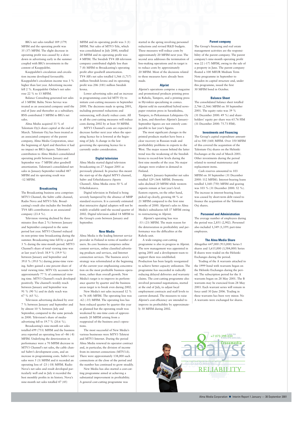BIG's net sales totalled 189 (179) MFIM and the operating profit was 35 (37) MFIM. The slight decrease in operating profit was caused by a slowdown in advertising early in the summer coupled with BIG's investments in the content of Kauppalehti.

Kauppalehti's circulation and circulation income developed favourably. Kauppalehti's circulation income was 3 % higher than last year. Advertising income fell 2 %. Kauppalehti Online's net sales rose 22 % to 13 MFIM.

Balance Consulting generated net sales of 3 MFIM. Baltic News Service was treated as an associated company until the end of June and thereafter as a subsidiary. BNS contributed 5 MFIM to BIG's net sales.

Alma Media acquired 33 % of Talentum Oyj's share capital at the end of March. Talentum Oyj has been treated as an associated company of the parent company, Alma Media Corporation, since the beginning of April and therefore it had no impact on BIG's figures. Talentum's contribution to Alma Media's consolidated operating profit between January and September was -7 MFIM after goodwill amortization. Talentum's consolidated net sales in January-September totalled 487 MFIM and its operating result was -12 MFIM.

#### **Broadcasting**

The Broadcasting business area comprises MTV3 Channel, the Subtv cable channel, Radio Nova and MTV3-Tele. Broadcasting's result also includes the Swedish TV4 AB's contribution as an associated company (23.4 %).

Television viewing declined by three minutes (less than 2 %) between January and September compared to the same period last year. MTV3 Channel reduced its non-prime time broadcasting during the summer. Broadcasting time fell by a good 3 % during the nine-month period. MTV3 Channel's share of total viewing time was at last year's level: 38.9 % (39.9 %) between January and September and 39.0 % (39.0 %) during prime-time viewing. Subtv gained a one percent share of total viewing time. MTV Oy accounts for approximately 77 % of commercial viewing time. MTV3 Channel's reach developed positively. The channel's weekly reach between January and September was 91 % (90 %) and its daily reach was 67 % (65 %).

Television advertising declined by over 7 % between January and September and by almost 10 % between July and September, compared to the same periods in 2000. Television's share of mediaadvertising fell to 19.7 % (20.6 %).

New Media's net sales increased 12 % to 76 (68) MFIM. The operating loss was -62 (-35) MFIM. The operating loss has been reduced quarter by quarter this year as planned but the operating result was weakened by one-time costs of approximately 20 MFIM arising from a reappraisal of the business area's ope

Broadcasting's nine-month net sales totalled 699 (753) MFIM and the business area reported an operating loss of –86 (-8) MFIM. Underlying the deterioration in performance were a 70 MFIM decrease in MTV3 Channel's net sales, the cable channel Subtv's development costs, and an increase in programming costs. Subtv's net sales were 5 (3) MFIM and it recorded an operating loss of -23 (-18) MFIM. Radio Nova's net sales and result developed particularly well and in July it recorded the best monthly profits in its history. Nova's nine-month net sales totalled 47 (45)

MFIM and its operating profit was 3 (1) MFIM. Net sales of MTV3-Tele, which was consolidated in July 2000, totalled 20 MFIM and its operating profit was 4 MFIM. The Swedish TV4 AB television company contributed slightly less than 7 (8) MFIM to Broadcasting's operating profit after goodwill amortization. TV4 AB's net sales totalled 1,566 (1,717) million Swedish krona and its operating profit was 206 (181) million Swedish krona.

Lower advertising sales and an increase in programming costs led MTV Oy to initiate cost-cutting measures in September 2000. The decisions made in spring 2001, including personnel reductions and outsourcing, will clearly reduce costs. All in all the cost-cutting measures will reduce costs during 2002 by at least 50 MFIM. MTV3 Channel's costs are expected to

decrease further next year when the operating licence fee is lowered at the beginning of July. A change in the law governing the operating licence fee is currently under consideration.

#### **Digital television**

Alma Media started digital television broadcasting on 27 August 2001 as previously planned. In practice this meant the start-up of the digital MTV3 channel, Subtv and Urheilukanava (Sports Channel). Alma Media owns 50 % of Urheilukanava.

Digital television in Finland is being severely hampered by the absence of MHP standard receivers. It is currently estimated that interactive digital adapters will not be widely available until the second quarter of 2002. Digital television added 14 MFIM to the Group's costs between January and September.

#### **New Media**

Alma Media is the leading Internet service provider in Finland in terms of number of users. Its core business comprises online content services, online classified advertising products and services, and Internet connection services. The business area's strategy was reformulated at the beginning of the current year emphasizing concentration on the most profitable business operations, rather than overall growth. New Media's target is to improve its performance quarter by quarter and the business areas target is to break even during 2002.

tions.

The most successful of New Media's various businesses were MTV3 Teletext and MTV3 Internet. During the period Alma Media renewed its operator contract and, in particular, the division of income from its internet connections (MTV3.fi). There were approximately 138,000 such connections at the close of the period and the number has continued to grow steadily. New Media has also started a cost-cutting programme aimed at achieving a substantial improvement in profitability. A general cost-cutting programme was



Alma Media Corporation ■ Interim Report 1 January — 30 September 2001

started in the spring involving personnel reductions and revised R&D budgets. These measures will reduce costs by approximately 20 MFIM next year. The second area addresses the termination of loss-making operations and its target is to reduce costs by approximately 20 MFIM. Most of the decisions related to these measures have already been made.

### **Alprint**

Alprint's operations comprise a magazine and promotional products printing press in Rahola, Tampere, and a printing press in Hyvinkää specializing in comics. Alprint sold its eurotabloid hybrid newspaper rotation press in Sarankulma, Tampere, to Pirkanmaan Lehtipaino Oy in June, and therefore Alprint's January-September figures are not entirely comparable to last year's figures.

The most significant changes in the printed products market have been a clear recovery in Russian trade and profitability problems in exports to the West. The major reason behind the latter trend was the weakening of the Swedish krona to record-low levels during the first nine months of the year. No major changes were evident in demand in Finland.

Alprint's January-September net sales totalled 329 (364) MFIM. Domestic sales declined 20 MFIM while western exports remain at last year's level. Eastern exports, on the other hand, picked up clearly, growing 44 % or 21 MFIM compared to the first nine months of 2000. Alprint's sales to Alma Media's subsidiaries fell 37 MFIM owing to restructuring in Alprint.

Alprint's operating loss was -33 (-23) MFIM. The main reason for the deterioration in profitability and performance was the difficulties at the Rahola unit.

A wide-ranging cost-cutting programme is also in progress in Alprint. The new management was appointed in spring 2001 and a development team to support them was established. Production has been largely reorganized to achieve better capacity utilization. The programme has succeeded in radically reducing delayed deliveries and warranty claims. The cost-cutting programme also involved personnel negotiations, started at the end of July, to adjust local employment contracts and staff levels to current demand. The measures to raise Alprint's cost-efficiency are intended to improve its profitability by approximate-

ly 30 MFIM during 2002.

#### **Parent company**

The Group's financing and real estate management activities are the responsibility of the parent company. The parent company's nine-month operating profit was 22 (-17) MFIM, owing to the sale of a property in June. The parent company floated a 100 MEUR Medium Term Note programme in September to broaden its capital structure and, under this programme, issued the first 30 MFIM bond in October.

#### **Balance Sheet**

The consolidated balance sheet totalled 2,766 (2,566) MFIM on 30 September 2001. The equity ratio was 39 % (31 December 2000: 49 %) and shareholders' equity per share was 65.76 FIM (31 December 2000: 75.73 FIM).

#### **Investments and Financing**

The Group's capital expenditure amounted to 500 (168) MFIM. Over 350 MFIM of this covered the acquisition of the Talentum Oyj shares on the Helsinki Exchanges at the end of March 2001. Other investments during the period related to normal maintenance and replacement items.

Cash reserves amounted to 103 MFIM on 30 September (31 December 2000: 112 MFIM). Interest-bearing loans totalled 1,168 (750) MFIM and gearing was 103 % (31 December 2000: 52 %). The increase in interest-bearing loans was caused by short-term debt raised to finance the acquisition of the Talentum Oyj shares.

#### **Personnel and Administration**

The average number of employees during the period was 2,851 (2,902). Personnel also included 1,349 (1,359) part-time employees.

#### **The Alma Media Share**

Altogether 647,000 (913,000) Series I shares and 1,615,000 (3,584,000) Series II shares were traded on the Helsinki Exchanges during the period.

Trading of the A warrants attached to the 1999 bond with warrants began on the Helsinki Exchanges during the period. The subscription period for the A warrants began on 28 May 2001. The B warrants may be exercised from 28 May 2003. Each warrant series will remain in force until 30 June 2006. Trading in these warrants has been very minor. No A warrants were exchanged for shares.